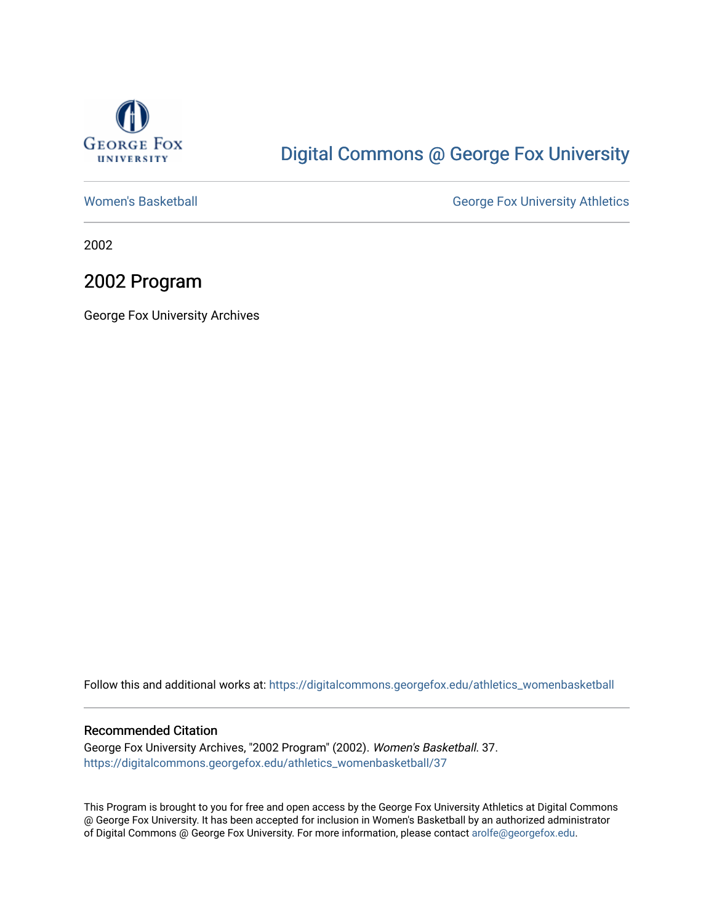

## [Digital Commons @ George Fox University](https://digitalcommons.georgefox.edu/)

[Women's Basketball](https://digitalcommons.georgefox.edu/athletics_womenbasketball) **George Fox University Athletics** 

2002

## 2002 Program

George Fox University Archives

Follow this and additional works at: [https://digitalcommons.georgefox.edu/athletics\\_womenbasketball](https://digitalcommons.georgefox.edu/athletics_womenbasketball?utm_source=digitalcommons.georgefox.edu%2Fathletics_womenbasketball%2F37&utm_medium=PDF&utm_campaign=PDFCoverPages) 

#### Recommended Citation

George Fox University Archives, "2002 Program" (2002). Women's Basketball. 37. [https://digitalcommons.georgefox.edu/athletics\\_womenbasketball/37](https://digitalcommons.georgefox.edu/athletics_womenbasketball/37?utm_source=digitalcommons.georgefox.edu%2Fathletics_womenbasketball%2F37&utm_medium=PDF&utm_campaign=PDFCoverPages)

This Program is brought to you for free and open access by the George Fox University Athletics at Digital Commons @ George Fox University. It has been accepted for inclusion in Women's Basketball by an authorized administrator of Digital Commons @ George Fox University. For more information, please contact [arolfe@georgefox.edu](mailto:arolfe@georgefox.edu).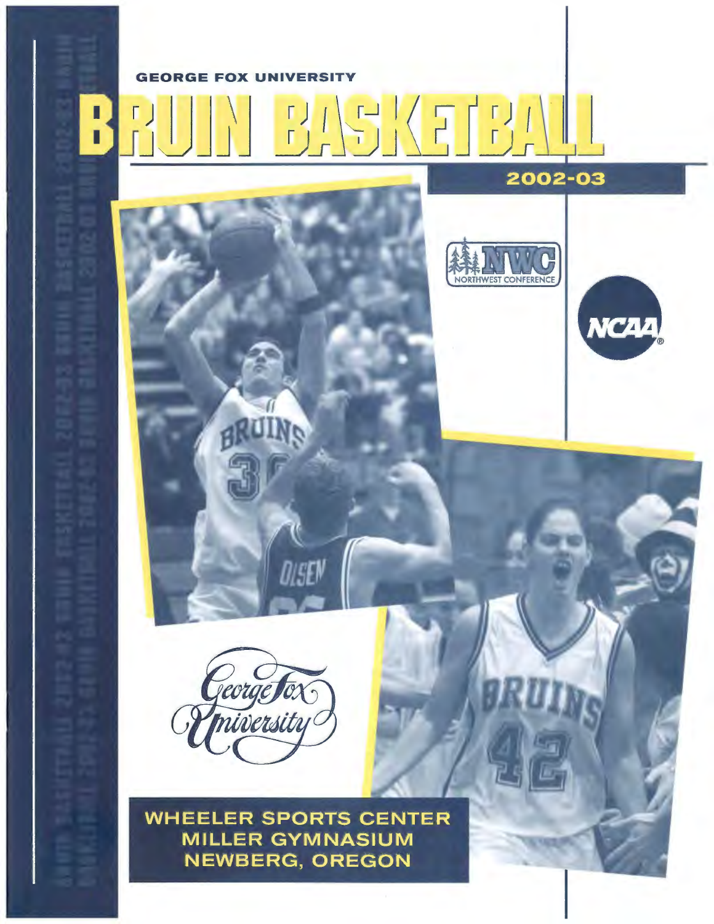## GEORGE FOX UNIVERSITY

I

 $\Gamma$ ï Г 2002-03



BRUINS

**WHEELER SPORTS CENTER MILLER GYMNASIUM NEWBERG, OREGON** 

DISEN



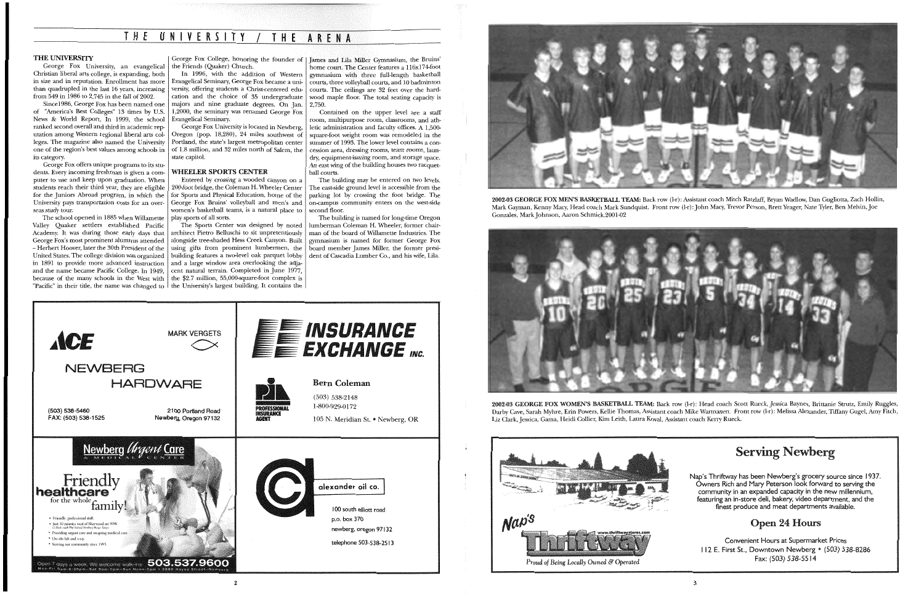George Fox University, an evangelical Christian liberal arts college, is expanding, both in size and in reputation. Enrollment has more than quadrupled in the last 16 years, increasing from  $\frac{249}{1986}$  to 2.745 in the fall of 2002.

#### THE UNIVERSITY

Since1986, George Fox has been named one of "America's Best Colleges" 13 times by U.S. News & World Report. In 1999, the school ranked second overall and third in academic reputation among Western regional liberal arts colleges. The magazine also named the University its category.

George Fox offers unique programs to its students. Every incoming freshman is given a computer to use and keep upon graduation. When students reach their third year, they are eligible for the Juniors Abroad program, in which the University pays transportation costs for an overseas study tour.

one of the region's best values among schools in  $\vert$  of 1.8 million, and 32 miles north of Salem, the George Fox University is located in Newberg, Oregon (pop. 18,280), 24 miles southwest of Portland, the state's largest metropolitan center state capitol.

#### WHEELER SPORTS CENTER

Entered by crossing a wooded canyon on a 200-foot bridge, the Coleman H. Wheeler Center for Sports and Physical Education, home of the George Fox Bruins' volleyball and men's and women's basketball teams, is a natural place to play sports of all sorts.

because of the many schools in the West with  $\vert$  the \$2.7 million, 55,000-square-foot complex is "Pacific" in their title, the name was changed to  $\vert$  the University's largest building. It contains the The Sports Center was designed by noted architect Pietro Belluschi to sit unpretentiously alongside tree-shaded Hess Creek Canyon. Built using gifts from prominent lumbermen, the building features a two-level oak parquet lobby and a large window area overlooking the adjacent natural terrain. Completed in June 1977,

The school opened in 1885 when Willamette Valley Quaker settlers established Pacific Academy. It was during those early days that George Fox's most prominent alumnus attended - Herbert Hoover, later the 30th President of the United States. The college division was organized in 1891 to provide more advanced instruction and the name became Pacific College. In 1949,

George Fox College, honoring the founder of James and Lila Miller Gymnasium, the Bruins' the Friends (Quaker) Church.

## **T H E UNIVERSITY** I **T H E A R E N A**

In 1996, with the addition of Western Evangelical Seminary, George Fox became a university, offering students a Christ-centered education and the choice of 35 undergraduate majors and nine graduate degrees. On Jan. 1,2000, the seminary was renamed George Fox Evangelical Seminary.



2002-03 GEORGE FOX WOMEN'S BASKETBALL TEAM: Back row (1-r): Head coach Scott Rueck, Jessica Baynes, Brittanie Strutz, Emily Ruggles, Darby Cave, Sarah Myhre, Erin Powers, Kellie Thomas, Assistant coach Mike Warmanen. Front row (1-r): Melissa Alexander, Tiffany Gugel, Amy Fitch, Liz Clark, Jessica, Gama, Heidi Collier, Kim Leith, Laura Koval, Assistant coach Kerry Rueck.

2

home court. The Center features a 116x174-foot gymnasium with three full-length basketball courts, three volleyball courts, and 10 badminton courts. The ceilings are 32 feet over the hardwood maple floor. The total seating capacity is 2,750.

Contained on the upper level are a staff room, multipurpose room, classrooms, and athletic administration and faculty offices. A 1,500 square-foot weight room was remodeled in the summer of 1993. The lower level contains a concession area, dressing rooms, team rooms, laundry, equipment-issuing room, and storage space. An east wing of the building houses two racquetball courts.



The building may be entered on two levels. The east-side ground level is accessible from the parking lot by crossing the foot bridge. The on-campus community enters on the west-side second floor.

The building is named for long-time Oregon lumberman Coleman H. Wheeler, former chairman of the board of Willamette Industries. The gymnasium is named for former George Fox board member James Miller, the former president of Cascadia Lumber Co., and his wife, Lila.



2002-03 GEORGE FOX MEN'S BASKETBALL TEAM: Back row (1-r): Assistant coach Mitch Ratzlaff, Bryan Wadlow, Dan Gugliotta, Zach Hollin, Mark Gayman, Kenny Macy, Head coach Mark Sundquist. Front row (1-r): John Macy, Trevor Person, Brett Yeager, Nate Tyler, Ben Melvin, Joe Gonzales, Mark Johnson, Aaron Schmick.2001-02



## Serving Newberg

Nap's Thriftway has been Newberg's grocery source since 1937. Owners Rich and Mary Peterson look forward to serving the community in an expanded capacity in the new millennium, featuring an in-store deli, bakery, video department, and the finest produce and meat departments available.

## Open 24 Hours

Convenient Hours at Supermarket Prices **I 12** E. First St., Downtown Newberg • (503) 538-8286 Fax: (503) 538-5514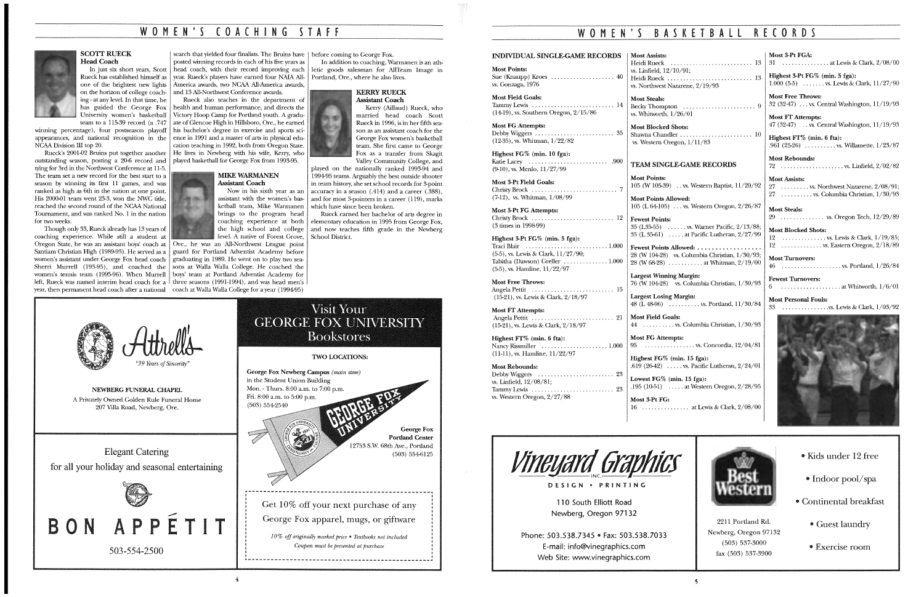## WOMEN'S COACHING STAFF



Head Coach

on the horizon of college coaching- at any level. In that time, he has guided the George Fox University women's basketball

team to a 115-39 record (a .747 winning percentage), four postseason playoff appearances, and national recognition in the NCAA Division III top 20.

Rueck's 2001-02 Bruins put together another outstanding season, posting a 20-6 record and played basketball for George Fox from 1993-95. tying for 3rd in the Northwest Conference at 11-5. The team set a new record for the best start to a season by winning its first 11 games, and was ranked as high as 6th in the nation at one point. His 2000-01 team went 23-3, won the NWC title, reached the second round of the NCAA National Tournament, and was ranked No. 1 in the nation for two weeks.

#### In just six short years, Scott | head coach, with their record improving each Rueck has established himself as year. Rueck's players have eamed four NAIA All-Portland, Ore., where he also lives. one of the brightest new lights America awards, two NCAA All-America awards, search that yielded four finalists. The Bruins have before coming to George Fox. posted winning records in each of his five years as and 13 All-Northwest Conference awards.

#### **KERRY RUECK** Assistant Coach

played on the nationally ranked 1993-94 and 1994-95 teams. Arguably the best outside shooter in team history, she set school records for 3-point accuracy in a season  $(.414)$  and a career  $(.388)$ , and for most 3-pointers in a career (119), marks which have since been broken.

Rueck earned her bachelor of arts degree in elementary education in 1995 from George Fox, and now teaches fifth grade in the Newberg

Though only 33, Rueck already has 13 years of coaching experience. While still a student at Oregon State, he was an assistant boys' coach at Ore., he was an All-Northwest League point Santiam Christian High (1989-93). He served as a guard for Portland Adventist Academy before women's assistant under George Fox head coach graduating in 1989. He went on to play two sea-Sherri Murrell (193-95), and coached the sons at Walla Walla College. He coached the women's tennis team (1995-96). When Murrell boys' team at Portland Adventist Academy for left, Rueck was named interim head coach for a  $\vert$  three seasons (1991-1994), and was head men's year, then permanent head coach after a national coach at Walla Walla College for a year (1994-95)

Rueck also teaches in the department of health and human performance, and directs the Victory Hoop Camp for Portland youth. A graduate of Glencoe High in Hillsboro, Ore., he eamed his bachelor's degree in exercise and sports science in 1991 and a master of arts in physical education teaching in 1992, both from Oregon State. He lives in Newberg with his wife, Kerry, who

#### MIKE WARMANEN Assistant Coach

In addition to coaching, Warmanen is an athletic goods salesman for AllTeam Image in

> Highest FT% (min. 6 fta): Nancy Rissmiller  $\dots\dots\dots\dots\dots\dots$ . 1.000  $(11-11)$ , vs. Hamline,  $11/22/97$

#### Most Rebounds:

Now in his sixth year as an assistant with the women's basketball team, Mike Warmanen brings to the program head coaching experience at both the high school and college leveL A native of Forest Grove, School District.

Kerry (Aillaud) Rueck, who married head coach Scott Rueck in 1996, is in her fifth season as an assistant coach for the George Fox women's basketball team. She first came to George Fox as a transfer from Skagit Valley Community College, and

> 35 (L35-55) ...... vs. Wamer Pacific, 2/13/88; 35 (L 35-61)  $\dots$  at Pacific Lutheran,  $2/27/99$

Fewest Points Allowed: ................ 28 (W 104-28) vs. Columbia Christian, 1/30/93; 28 (W 68-28) ........... at Whitman, 2/19/00

Largest Winning Margin: 76 (W 104-28) vs. Columbia Christian, 1/30/93

Largest Losing Margin: 48 (L 48-96)  $\ldots$  ....... vs. Portland,  $11/30/84$ 



*"39 Years of Sincerity"* 

4

| <b>Most Assists:</b><br>vs. Linfield, $12/10/91$ ;<br>Heidi Rueck  13<br>vs. Northwest Nazarene, 2/19/93                                                                                                                                   | Most 3-Pt FGA:<br>31 at Lewis & Clark, $2/08/00$<br>Highest 3-Pt FG% (min. 5 fga):<br>$1.000(5-5)$ , vs. Lewis & Clark, $11/27/90$ |
|--------------------------------------------------------------------------------------------------------------------------------------------------------------------------------------------------------------------------------------------|------------------------------------------------------------------------------------------------------------------------------------|
| <b>Most Steals:</b>                                                                                                                                                                                                                        | <b>Most Free Throws:</b>                                                                                                           |
|                                                                                                                                                                                                                                            | 32 (32-47)  vs. Central Washington, $11/19/93$                                                                                     |
| vs. Whitworth, $1/26/01$                                                                                                                                                                                                                   | Most FT Attempts:                                                                                                                  |
| <b>Most Blocked Shots:</b>                                                                                                                                                                                                                 | 47 (32-47)  vs. Central Washington, $11/19/93$                                                                                     |
|                                                                                                                                                                                                                                            | Highest $FT\%$ (min. 6 fta):                                                                                                       |
| vs. Western Oregon, $1/11/83$                                                                                                                                                                                                              | .961 (25-26)  vs. Willamette, $1/23/87$                                                                                            |
| <b>TEAM SINGLE-GAME RECORDS</b>                                                                                                                                                                                                            | <b>Most Rebounds:</b>                                                                                                              |
| <b><i>Marting Committee Committee Committee Committee Committee Committee Committee Committee Committee Committee Committee Committee Committee Committee Committee Committee Committee Committee Committee Committee Committee Co</i></b> |                                                                                                                                    |

in the Student Union Building

Fri. 8:00 a.m. to 5:00 p.m. (503) 554-2540 George Fox Pordand Center 12753 S.W. 68th Ave., Portland (503) 554-6125 r------------------------------------------------~ Get 10% off your next purchase of any George Fox apparel, mugs, or giftware *10% off originally marked price* • *Textbooks not included* 

**TWO LOCATIONS:** 

Visit Your **GEORGE FOX UNIVERSITY Bookstores** 

George Fox Newberg Campus *(main store)* 



2211 Portland Rd. • Guest laundry Newberg, Oregon 97132 (503) 537-3000 fax (503) 537-3900

*Coupon must be presented at purchase*  



#### Most Points: Sue (Knaupp) Kroes . . . . . . . . . . . . . . . . . . . . 40 vs. Gonzaga, 1976 Most Field Goals:

Tammy Lewis . . . . . . . . . . . . . . . . . . . . . . . . . . 14 (14-19), vs. Southern Oregon, 2/15/86

Most FG Attempts: Debby Wiggers . . . . . . . . . . . . . . . . . . . . . . . . . 35 (12-35), vs. Whitman, 1/22/82

Highest FG% (min. 10 fga): Katie Lacey . . . . . . . . . . . . . . . . . . . . . . . . . .900 (9-10), vs. Menlo, 11/27/99

Most 3-Pt Field Goals: Christy Brock . . . . . . . . . . . . . . . . . . . . . . . . . . . 7 (7-12), vs. Whitman, 1/08/99

Most 3-Pt FG Attempts: Christy Brock . . . . . . . . . . . . . . . . . . . . . . . . . . 12 (3 times in 1998-99)

#### Highest 3-Pt FG% (min. 5 fga): Traci Blair .......................... 1.000

(5-5), vs. Lewis & Clark, 11/27 /90; Tabitha (Dawson) Greller .............. 1.000 (5-5), vs. Hamline, ll/22/97

#### Most Free Throws:

Angela Pettit . . . . . . . . . . . . . . . . . . . . . . . . . . 15 (15-21), vs. Lewis & Clark, 2/18/97

Most FT Attempts: Angela Pettit . . . . . . . . . . . . . . . . . . . . . . . . . . 21 (15-21), vs. Lewis & Clark, 2/18/97

Debby Wiggers . . . . . . . . . . . . . . . . . . . . . . . . 23 vs. Linfield, 12/08/81; Tammy Lewis . . . . . . . . . . . . . . . . . . . . . . . . . . 23 vs. Western Oregon, 2/27/88

Most Points:

105 (W 105-39) .. vs. Western Baptist, 11/20/92 Most Points Allowed: 105 (L 64-105) ... vs. Western Oregon, 2/26/87

Fewest Points:

#### INDIVIDUAL SINGLE-GAME RECORDS | Most Assists: Heidi Rueck ...

## WOMEN'S BASKETBALL RECORDS

Most Field Goals:

44 .......... vs. Columbia Christian, 1/30/93 Most FG Attempts:

 $95$  ................ vs. Concordia,  $12/04/81$ 

Highest FG% (min. 15 fga): .619 (26-42) ..... vs. Pacific Lutheran, 2/24/01

.195  $(10-51)$  ..... at Western Oregon,  $2/28/95$ 

Lowest FG% (min. 15 fga):

Most 3-Pt FG:

*Vineyard Graphics* 

16 ............... at Lewis & Clark, 2/08/00

DESIGN • PRINTING

**11** 0 South Elliott Road Newberg, Oregon 971 32

| <b>Most Assists:</b>                   |
|----------------------------------------|
| 27 vs. Northwest Nazarene, $2/08/91$ ; |
| 27 vs. Columbia Christian, $1/30/93$   |
|                                        |

Most Steals: 29 .............. vs. Oregon Tech, 12/29/89

Most Blocked Shots: 12 .............. vs. Lewis & Clark, 1/19/85; 12 ............. vs. Eastern Oregon, 2/18/89

Most Turnovers: 46 ................... vs.Portland, 1/26/84

Fewest Turnovers: 6 ................... atv\'hitworth, 1/6/01

Most Personal Fouls: 33 ............... vs. Lewis & Clark, 1/03/92



- Kids under 12 free
- Indoor pool/ spa
- Continental breakfast
	-
	- Exercise room

Phone: 503.538.7345 • Fax: 503.538.7033 E-mail: info@vinegraphics.com Web Site: www.vinegraphics.com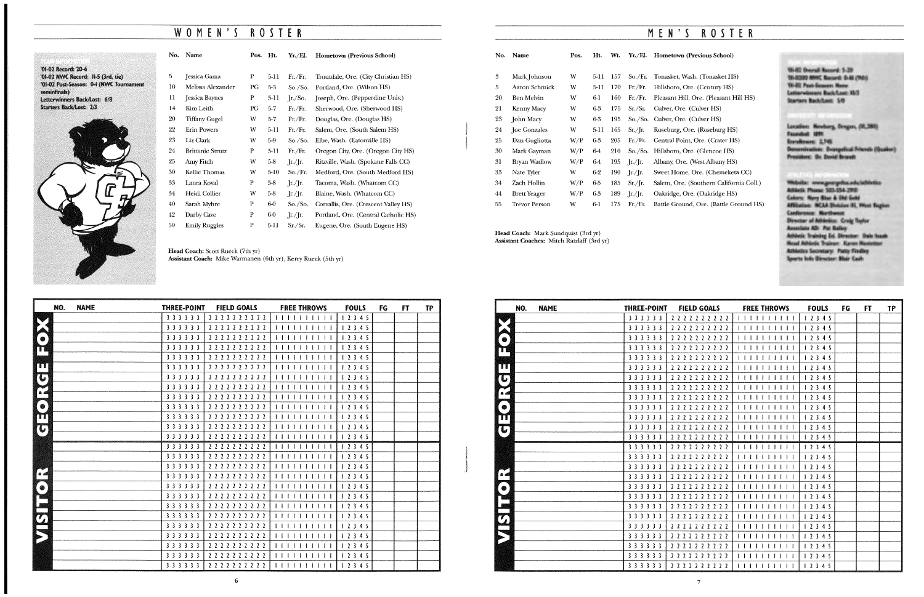## WOMEN'S ROSTER

## '01-02 Record: 20-6 '01-02 NWC Record: II-5 (3rd, tie) '01-02 Post-Season: 0-1 (NWC Tournament<br>seminfinals) Letterwinners Back/Lost: 6/8 Starters Back/Lost: 2/3



| No. | Name                    | Pos. | Ht.      | Yr./El.                      | <b>Hometown (Previous School)</b>    |
|-----|-------------------------|------|----------|------------------------------|--------------------------------------|
|     |                         |      |          |                              |                                      |
| 5   | Jessica Gama            | P    | 5-11     | Fr/Fr.                       | Troutdale, Ore. (City Christian HS)  |
| 10  | Melissa Alexander       | PG   | $5-3$    | So./So.                      | Portland, Ore. (Wilson HS)           |
| 11  | Jessica Baynes          | P    | $5-11$   | $\Gamma$ /So.                | Joseph, Ore. (Pepperdine Univ.)      |
| 14  | Kim Leith               | PG   | $5 - 7$  | Fr./Fr.                      | Sherwood, Ore. (Sherwood HS)         |
| 20  | <b>Tiffany Gugel</b>    | W    | $5-7$    | Fr/Fr.                       | Douglas, Ore. (Douglas HS)           |
| 22  | <b>Erin Powers</b>      | W    | $5-11$   | Fr/Fr.                       | Salem, Ore. (South Salem HS)         |
| 23  | Liz Clark               | w    | 5-9      | So./So.                      | Elbe, Wash. (Eatonville HS)          |
| 24  | <b>Brittanie Strutz</b> | P    | $5-11$   | Fr./Fr.                      | Oregon City, Ore. (Oregon City HS)   |
| 25  | Amy Fitch               | W    | 58       | $\int$ r./ $\int$ r.         | Ritzville, Wash. (Spokane Falls CC)  |
| 30  | Kellie Thomas           | W    | $5 - 10$ | So./Fr.                      | Medford, Ore. (South Medford HS)     |
| 33  | Laura Koval             | P    | 5-8      | Jr/Jr.                       | Tacoma, Wash. (Whatcom CC)           |
| 34  | Heidi Collier           | W    | $5-8$    | $\int$ r./ $\int$ r.         | Blaine, Wash. (Whatcom CC)           |
| 40  | Sarah Myhre             | P    | 6-0      | So./So.                      | Corvallis, Ore. (Crescent Valley HS) |
| 42  | Darby Cave              | P    | 6-0      | $\int r^2 \, \mathrm{d} r$ . | Portland, Ore. (Central Catholic HS) |
| 50  | <b>Emily Ruggles</b>    | P    | $5 - 11$ | Sr./Sr.                      | Eugene, Ore. (South Eugene HS)       |
|     |                         |      |          |                              |                                      |

| NO.                     | <b>NAME</b> | <b>THREE-POINT</b> | <b>FIELD GOALS</b>  | <b>FREE THROWS</b>    | <b>FOULS</b> | FG | <b>FT</b> | <b>TP</b> |
|-------------------------|-------------|--------------------|---------------------|-----------------------|--------------|----|-----------|-----------|
|                         |             | 3 3 3 3 3 3        | 2 2 2 2 2 2 2 2 2 2 | 11111111111           | 12345        |    |           |           |
|                         |             | 3 3 3 3 3 3        | 2 2 2 2 2 2 2 2 2 2 | 1111111111            | 12345        |    |           |           |
| ●                       |             | 3 3 3 3 3 3        | 2222222222          | 1111111111            | 12345        |    |           |           |
| m                       |             | 3 3 3 3 3 3        | 2 2 2 2 2 2 2 2 2 2 | 11111111111           | 12345        |    |           |           |
|                         |             | 3 3 3 3 3 3        | 2 2 2 2 2 2 2 2 2 2 |                       | 12345        |    |           |           |
| m                       |             | 3 3 3 3 3 3        | 2222222222          | 1111111111            | 12345        |    |           |           |
| TU.                     |             | 3 3 3 3 3 3        | 2 2 2 2 2 2 2 2 2 2 | 11111111111           | 12345        |    |           |           |
|                         |             | 3 3 3 3 3 3        | 2 2 2 2 2 2 2 2 2 2 | 1 1 1 1 1 1 1 1 1 1 1 | 12345        |    |           |           |
| P                       |             | 3 3 3 3 3 3        | 2 2 2 2 2 2 2 2 2 2 |                       | 12345        |    |           |           |
| $\qquad \qquad \bullet$ |             | 3 3 3 3 3 3        | 2 2 2 2 2 2 2 2 2 2 | 1111111111            | 12345        |    |           |           |
| Ш                       |             | 3 3 3 3 3 3        | 2 2 2 2 2 2 2 2 2 2 | 1111111111            | 12345        |    |           |           |
| $(\mathbb{C})$          |             | 3 3 3 3 3 3        | 2 2 2 2 2 2 2 2 2 2 | 1111111111            | 12345        |    |           |           |
|                         |             | 3 3 3 3 3 3        | 2 2 2 2 2 2 2 2 2 2 | 111111111111          | 12345        |    |           |           |
|                         |             | 3 3 3 3 3 3        | 2222222222          | 11111                 | 12345        |    |           |           |
|                         |             | 3 3 3 3 3 3        | 2222222222          | 1111111111            | 12345        |    |           |           |
|                         |             | 3 3 3 3 3 3        | 2 2 2 2 2 2 2 2 2 2 |                       | 1 2 3 4 5    |    |           |           |
| a.                      |             | 3 3 3 3 3 3        | 2222222222          |                       | 12345        |    |           |           |
| ◈                       |             | 3 3 3 3 3 3        | 2222222222          | 11111                 | 12345        |    |           |           |
|                         |             | 3 3 3 3 3 3        | 2222222222          | 11111111              | 12345        |    |           |           |
|                         |             | 3 3 3 3 3 3        | 2 2 2 2 2 2 2 2 2 2 |                       | 12345        |    |           |           |
| $\sigma$                |             | 3 3 3 3 3 3        | 2222222222          | 111111111111          | 12345        |    |           |           |
|                         |             | 3 3 3 3 3 3        | 2 2 2 2 2 2 2 2 2 2 | 111111111111          | 12345        |    |           |           |
|                         |             | 3 3 3 3 3 3        | 2 2 2 2 2 2 2 2 2 2 |                       | 12345        |    |           |           |
|                         |             | 3 3 3 3 3 3        | 2222222222          | 1111111111            | 1 2 3 4 5    |    |           |           |
|                         |             | 3 3 3 3 3 3        | 2 2 2 2 2 2 2 2 2 2 | 1111111111            | 12345        |    |           |           |
|                         |             | 3 3 3 3 3 3        | 2 2 2 2 2 2 2 2 2 2 | 11111111111           | 1 2 3 4 5    |    |           |           |

Head Coach: Scott Rueck (7th yr) Assistant Coach: Mike Warmanen (6th yr), Kerry Rueck (5th yr)

## M E N ' *S* ROSTER

#### m (Previous School)

Wash. (Tonasket HS) , Ore. (Century HS) 6-1 160 Fr./Fr. Pleasant Hill, Ore. (Pleasant Hill HS) re. (Culver HS) re. (Culver HS) 5. Ore. (Roseburg HS) oint, Ore. (Crater HS) 6. (Glencoe HS) Ore. (West Albany HS) me, Ore. (Chemeketa CC) re. (Southern California Coll.) , Ore. (Oakridge HS) ound, Ore. (Battle Ground HS)

'0142 Overall Record: \$-20 UL-0200 MWC Rouard: 0-46 (9th) **W-02 Post-Semon: Note** Lemovimurs BackGast RDS<br>Starters BackGast: 5/0

Location: Newburg, Orogon, (81,280) Founded: UHI Enrolmuse 2,745 emination: Examplical Friends (Quaker) President: Dr. David Brandt

Website: www.goorgotes.edu/athletics Athletic Phone: 503-554-2910 Colors: New Blue & Old Gold .~··.·I(M~JII.~·~.·.· Coines: - Novy Blue & Old Gold<br>Affiliation: - MCAA Division III, West Region<br>Conference: - Northwest<br>- November of Athletics - Carlo Techni ~Conference: Morthwest<br>Director of Athietics: Craig Toylor<br>Associate AD: Pat Bailey Arbintic Training Ed. Director: Oals haak Head Athietic Trainer: Karen Hustetter Athletics Secretary: Patty Finding Sports folls Director: Blair Cash

| No. | Name                 | Pos. | Ht.    | Wt. | Yr./El.                                      | Hometow           |
|-----|----------------------|------|--------|-----|----------------------------------------------|-------------------|
| 3   | Mark Johnson         | W    | 5-11   | 157 | So./Fr.                                      | Tonasket,         |
| 5   | Aaron Schmick        | W    | $5-11$ | 170 | Fr/Fr.                                       | Hillsboro,        |
| 20  | Ben Melvin           | W    | $6-1$  | 160 | Fr/Fr.                                       | Pleasant I        |
| 21  | <b>Kenny Macy</b>    | W    | 6-3    | 175 | Sr./Sr.                                      | Culver, O         |
| 23  | John Macy            | W    | 6-3    | 195 | So./So.                                      | Culver, O         |
| 24  | <b>Joe Gonzales</b>  | W    | 5-11   | 165 | Sr./Ir.                                      | Roseburg,         |
| 25  | Dan Gugliotta        | W/P  | 6-3    | 205 | Fr/Fr.                                       | Central P         |
| 30  | Mark Gayman          | W/P  | 64     | 210 | So./So.                                      | Hillsboro,        |
| 31  | <b>Bryan Wadlow</b>  | W/P  | 64     | 195 | $\left[\frac{r}{r}\right]$                   | Albany, O         |
| 33  | Nate Tyler           | W    | $6-2$  | 190 | $\left[\frac{\text{r}}{\text{r}}\right]$ [r. | Sweet Hor         |
| 34  | Zach Hollin          | W/P  | 65     | 185 | $Sr./$ [r.                                   | Salem, Or         |
| 44  | <b>Brett Yeager</b>  | W/P  | $6-3$  | 189 | $\int$ r./ $\int$ r.                         | Oakridge,         |
| 55  | <b>Trevor Person</b> | W    | 6-1    | 175 | Fr/Fr.                                       | <b>Battle Gro</b> |
|     |                      |      |        |     |                                              |                   |

Head Coach: Mark Sundquist (3rd yr) Assistant Coaches: Mitch Ratzlaff (3rd yr)

| NO.<br><b>NAME</b>               | <b>THREE-POINT</b> | <b>FIELD GOALS</b>  | <b>FREE THROWS</b>                                                                                                                                                                                                                                                                                                               | <b>FOULS</b> | FG | FT | TP |
|----------------------------------|--------------------|---------------------|----------------------------------------------------------------------------------------------------------------------------------------------------------------------------------------------------------------------------------------------------------------------------------------------------------------------------------|--------------|----|----|----|
|                                  | 3 3 3 3 3 3        | 2222222222          | 11111111111                                                                                                                                                                                                                                                                                                                      | 12345        |    |    |    |
|                                  | 3 3 3 3 3 3        | 2222222222          | 11111111111                                                                                                                                                                                                                                                                                                                      | 12345        |    |    |    |
| $\bullet$                        | 3 3 3 3 3 3        | 2222222222          | 11111111111                                                                                                                                                                                                                                                                                                                      | 12345        |    |    |    |
| T                                | 3 3 3 3 3 3        | 2 2 2 2 2 2 2 2 2 2 | 1111111111                                                                                                                                                                                                                                                                                                                       | 12345        |    |    |    |
|                                  | 3 3 3 3 3 3        | 2 2 2 2 2 2 2 2 2 2 | 111111111111                                                                                                                                                                                                                                                                                                                     | 12345        |    |    |    |
| Ш                                | 3 3 3 3 3 3        | 2222222222          | 1111111111                                                                                                                                                                                                                                                                                                                       | 12345        |    |    |    |
| $\mathbf{C}$                     | 3 3 3 3 3 3        | 2222222222          | 1111111111                                                                                                                                                                                                                                                                                                                       | 12345        |    |    |    |
| e<br>Ada<br>Banda                | 3 3 3 3 3 3        | 2 2 2 2 2 2 2 2 2 2 | 11111111111                                                                                                                                                                                                                                                                                                                      | 12345        |    |    |    |
|                                  | 3 3 3 3 3 3        | 2222222221          |                                                                                                                                                                                                                                                                                                                                  | 12345        |    |    |    |
| $\bullet$                        | 3 3 3 3 3 3        | 2222222222          | 111111111                                                                                                                                                                                                                                                                                                                        | 12345        |    |    |    |
| TП                               | 3 3 3 3 3 3        | 2 2 2 2 2 2 2 2 2 2 | 111111111                                                                                                                                                                                                                                                                                                                        | 12345        |    |    |    |
| $\mathbf{\overline{\mathbf{U}}}$ | 3 3 3 3 3 3        | 2222222221          |                                                                                                                                                                                                                                                                                                                                  | 12345        |    |    |    |
|                                  | 3 3 3 3 3 3        | 2 2 2 2 2 2 2 2 2 2 | 11111111111                                                                                                                                                                                                                                                                                                                      | 12345        |    |    |    |
|                                  | 3 3 3 3 3 3        | 2 2 2 2 2 2 2 2 2 2 | 11111111                                                                                                                                                                                                                                                                                                                         | 12345        |    |    |    |
|                                  | 3 3 3 3 3 3        | 2 2 2 2 2 2 2 2 2 2 |                                                                                                                                                                                                                                                                                                                                  | 12345        |    |    |    |
|                                  | 3 3 3 3 3 3        | 2 2 2 2 2 2 2 2 2 2 | 11111111111                                                                                                                                                                                                                                                                                                                      | 12345        |    |    |    |
| a d                              | 3 3 3 3 3 3        | 2 2 2 2 2 2 2 2 2 2 | $\begin{tabular}{c} \bf 1 & 1 & 1 & 1 & 1 & 1 & 1 & 1 & 1 \\ \bf 1 & 1 & 1 & 1 & 1 & 1 & 1 & 1 & 1 \\ \bf 1 & 1 & 1 & 1 & 1 & 1 & 1 & 1 & 1 \\ \bf 1 & 1 & 1 & 1 & 1 & 1 & 1 & 1 & 1 \\ \bf 1 & 1 & 1 & 1 & 1 & 1 & 1 & 1 & 1 \\ \bf 1 & 1 & 1 & 1 & 1 & 1 & 1 & 1 & 1 \\ \bf 1 & 1 & 1 & 1 & 1 & 1 & 1 & 1 & 1 \\ \bf 1 & 1 & $ | 12345        |    |    |    |
| $\sqrt{\bullet}$                 | 3 3 3 3 3 3        | 2 2 2 2 2 2 2 2 2 2 | 111111111111                                                                                                                                                                                                                                                                                                                     | 12345        |    |    |    |
|                                  | 3 3 3 3 3 3        | 2 2 2 2 2 2 2 2 2 2 | 11111111111                                                                                                                                                                                                                                                                                                                      | 12345        |    |    |    |
|                                  | 3 3 3 3 3 3        | 2 2 2 2 2 2 2 2 2 2 |                                                                                                                                                                                                                                                                                                                                  | 12345        |    |    |    |
|                                  | 3 3 3 3 3 3        | 2 2 2 2 2 2 2 2 2 2 | 1111111111                                                                                                                                                                                                                                                                                                                       | 12345        |    |    |    |
| LO LI                            | 3 3 3 3 3 3        | 2222222222          |                                                                                                                                                                                                                                                                                                                                  | 12345        |    |    |    |
|                                  | 3 3 3 3 3 3        | 2 2 2 2 2 2 2 2 2 2 | 11111111111                                                                                                                                                                                                                                                                                                                      | 12345        |    |    |    |
|                                  | 3 3 3 3 3 3        | 222222222           | 1111111111                                                                                                                                                                                                                                                                                                                       | 12345        |    |    |    |
|                                  | 3 3 3 3 3 3        | 2222222222          | 1111111111                                                                                                                                                                                                                                                                                                                       | 12345        |    |    |    |
|                                  | 3 3 3 3 3 3        | 2222222221          | 111111111111                                                                                                                                                                                                                                                                                                                     | 12345        |    |    |    |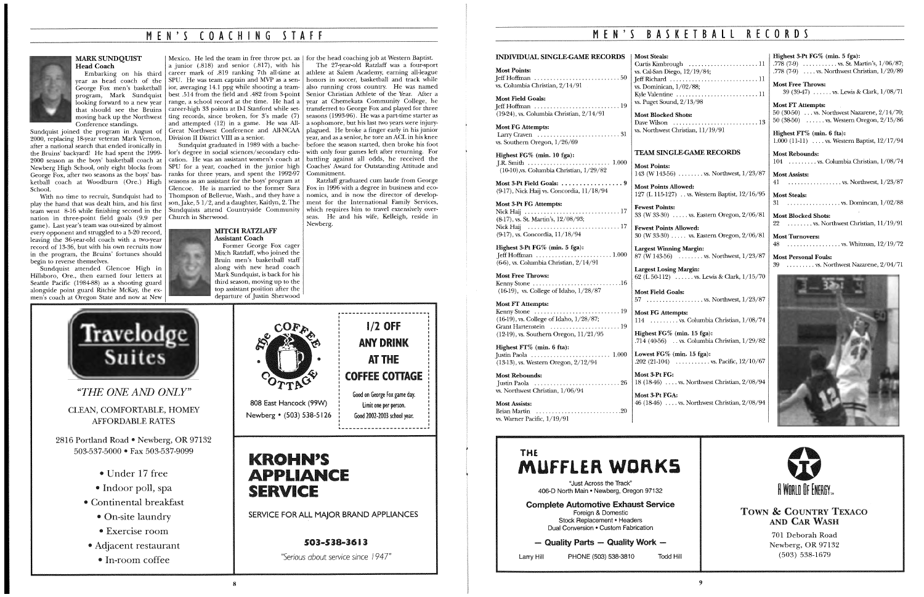## M E N ' *S* COACHING *S* T A F F



#### MARK SUNDQUIST Head Coach

Embarking on his third year as head coach of the George Fox men's basketball program, Mark Sundquist looking forward to a new year that should see the Bruins moving back up the Northwest Conference standings.

Sundquist joined the program in August of 2000, replacing 18-year veteran Mark Vernon, after a national search that ended ironically in the Bruins' backyard! He had spent the 1999- 2000 season as the boys' basketball coach at Newberg High School, only eight blocks from George Fox, after two seasons as the boys' basketball coach at Woodburn (Ore.) High School.

With no time to recruit, Sundquist had to play the hand that was dealt him, and his first team went 8-16 while finishing second in the nation in three-point field goals (9.9 per game). Last year's team was out-sized by almost every opponent and struggled to a 5-20 record, leaving the 36-year-old coach with a two-year record of 13-36, but with his own recruits now in the program, the Bruins' fortunes should begin to reverse themselves.

Sundquist attended Glencoe High in Hillsboro, Ore., then earned four letters at Seattle Pacific (1984-88) as a shooting guard alongside point guard Ritchie McKay, the exmen's coach at Oregon State and now at New

a junior (.818) and senior (.817), with his career mark of .819 ranking 7th all-time at SPU. He was team captain and MVP as a senior, averaging 14.1 ppg while shooting a teambest .514 from the field and .482 from 3-point range, a school record at the time. He had a ting records, since broken, for 3's made (7) and attempted (12) in a game. He was All-Great Northwest Conference and All-NCAA Division II District VIII as a senior.

## Mexico. He led the team in free throw pet. as for the head coaching job at Western Baptist.

Sundquist graduated in 1989 with a bachelor's degree in social sciences/secondary education. He was an assistant women's coach at SPU for a year, coached in the junior high ranks for three years, and spent the 1992-97 seasons as an assistant for the boys' program at Glencoe. He is married to the former Sara Thompson of Bellevue, Wash., and they have a son, Jake, *5* 1/2, and a daughter, Kaitlyn, 2. The Sundquists attend Countryside Community Church in Sherwood.

> MITCH RATZLAFF Assistant Coach

Most 3-Pt Field Goals: ..........................9 (9-17), Nick Haij vs. Concordia, 11/18/94

Former George Fox eager Mitch Ratzlaff, who joined the Bruin men's basketball staff

career-high 33 points at D-I Stanford while set-transferred to George Fox and played for three The 27-year-old Ratzlaff was a four-sport athlete at Salem Academy, earning all-league honors in soccer, basketball and track while also running cross country. He was named Senior Christian Athlete of the Year. After a year at Chemekata Community College, he seasons (1993-96). He was a part-time starter as a sophomore, but his last two years were injuryplagued. He broke a finger early in his junior year, and as a senior, he tore an ACL in his knee before the season started, then broke his foot with only four games left after returning. For battling against all odds, he received the Coaches' Award for Outstanding Attitude and Commitment.

#### along with new head coach Mark Sundquist, is back for his third season, moving up to the top assistant position after the departure of Justin Sherwood

Kenny Stone ............................ 16  $(16-19)$ , vs. College of Idaho,  $1/28/87$ 

*"THE ONE AND ONLY"* 

Highest FT% (min. 6 fta): Justin Paola . . . . . . . . . . . . . . . . . . . . . . . . . 1.000  $(13-13)$ , vs. Western Oregon,  $2/12/94$ 

| <b>Most Steals:</b>                                                    |
|------------------------------------------------------------------------|
|                                                                        |
| vs. Cal-San Diego, 12/19/84;                                           |
|                                                                        |
| vs. Dominican, $1/02/88$ ;                                             |
| Kyle Valentine  11                                                     |
| vs. Puget Sound, $2/13/98$                                             |
| <b>Most Blocked Shots:</b>                                             |
| Dave Wilson $\dots \dots \dots \dots \dots \dots \dots \dots \dots$ 13 |
| vs. Northwest Christian, 11/19/91                                      |

Largest Winning Margin: 87 (W 143-56) ........ vs. Northwest, 1/23/87

Lowest FG% (min. 15 fga): .202 (21-104)  $\ldots$  vs. Pacific, 12/10/67

Ratzlaff graduated cum laude from George

Fox in 1996 with a degree in business and economics, and is now the director of development for the International Family Services, which requires him to travel extensively overseas. He and his wife, Kelleigh, reside in Newberg.

1/2 OFF

ANY DRINK



CLEAN, COMFORTABLE, HOMEY AFFORDABLE RATES

AT THE COFFEE COTTAGE 808 East Hancock (99W) Newberg • (503) 538-5126 Good on George Fox game day. limit one per person. Good 2002-2003 school year.

## KROHN'S **APPLIANCE SERVICE**

2816 Portland Road • Newberg, OR 97132 503-537-5000 • Fax 503-537-9099

- Under 17 free
- Indoor poll, spa
- Continental breakfast
	- On-site laundry
	- Exercise room
- Adjacent restaurant
- In-room coffee



SERVICE FOR ALL MAJOR BRAND APPLIANCES

## 503-538-3613

*"Serious about service since 194* 7"

## M E N ' *S* B A *S* K E T B A l l RECORDS

Most Points: Jeff Hoffman ........................... 50 vs. Columbia Christian, 2/14/91

Most Field Goals: Jeff Hoffman ........................... 19

(19-24), vs. Columbia Christian, 2/14/91 Most FG Attempts:

Larry Craven .......................... 31 vs. Southern Oregon, 1/26/69

Highest FG% (min. 10 fga): JR. Smith . . . . . . . . . . . . . . . . . . . . . . . . . . 1.000 (10-IO),vs. Columbia Christian, l/29/82

Most 3-Pt FG Attempts: Nick Haij .............................. 17 (8-17), vs. St. Martin's, 12/08/93; Nick Haij ............................. 17 (9-17), vs. Concordia, 11/18/94

#### INDIVIDUAL SINGLE-GAME RECORDS Most Steals:

Highest 3-Pt FG% (min. 5 fga):  $I$ eff Hoffman  $\dots\dots\dots\dots\dots\dots\dots$  1.000 (6-6), vs. Columbia Christian, 2/14/91

#### Most Free Throws:

Most FT Attempts: Kenny Stone ........................... 19  $(16-19)$ , vs. College of Idaho,  $1/28/87$ ; Grant Hartenstein ...................... 19 (12-19), vs. Southern Oregon, ll/21/95

Most Rebounds: Justin Paola ........................... 26 vs. Northwest Christian, 1/06/94

Most Assists: Brian Martin .................................20 vs. Warner Pacific, 1/19/91

#### TEAM SINGLE-GAME RECORDS

Most Points:

Fewest Points:

143 (W 143-56) ........ vs. Northwest, 1/23/87

Most Points Allowed: 127 (L 115-127) .. vs. Western Baptist, 12/16/95

33 (W 33-30) ..... vs. Eastern Oregon, 2/06/81

Fewest Points Allowed: 30 (W 33-30) ..... vs. Eastern Oregon, 2/06/81

# THE MUFFLER WORKS

Largest Losing Margin: 62 (L 50-112) ...... vs. Lewis & Clark, l/15/70

Most Field Goals: 57 .................... vs. Northwest, 1/23/87 Most FG Attempts:

114 ......... vs. Columbia Christian, 1/08/74

Highest FG% (min. 15 fga): .714 (40-56) .. vs. Columbia Christian, 1/29/82

Most 3-Pt FG:

18 (18-46) .... vs. Northwest Christian, 2/08/94

Most 3-Pt FGA:

46 (18-46) .... vs. Northwest Christian, 2/08/94

"Just Across the Track" 406-D North Main • Newberg, Oregon 97132

| Highest 3-Pt FG% (min. 5 fga):                                  |
|-----------------------------------------------------------------|
| .778 (7-9) $\ldots \ldots \ldots$ vs. St. Martin's, $1/06/87$ ; |
| .778 (7-9)  vs. Northwest Christian, $1/20/89$                  |

Most Free Throws: 39 (39-47) ...... vs. Lewis & Clark, 1/08/71

Most FT Attempts: 50 (30-50) ... vs. Northwest Nazarene, 2/14/70; 50 (38-50) ...... vs. Western Oregon, 2/15/86

Highest Fr% (min. 6 fta): 1.000 (11-11) .... vs. Western Baptist, 12/17/94

Most Rebounds: 104 ......... vs. Columbia Christian, 1/08/74

Most Assists: 41 ................. vs. Northwest, 1/23/87

Most Steals: 31 ................. vs. Domincan, l/02/88

Most Blocked Shots: 22 ........ vs. Northwest Christian, 11/19/91

Most Turnovers: 48 ................. vs. Whitman, 12/19/72

Most Personal Fouls: 39 ......... vs. Northwest Nazarene, 2/04/71





Complete Automotive Exhaust Service Foreign & Domestic Stock Replacement • Headers Dual Conversion • Custom Fabrication

- Quality Parts - Quality Work -

TOWN & COUNTRY TEXACO AND CAR WASH

Larry Hill PHONE (503) 538-3810 Todd Hill

701 Deborah Road Newberg, OR 97132 (503) 538-1679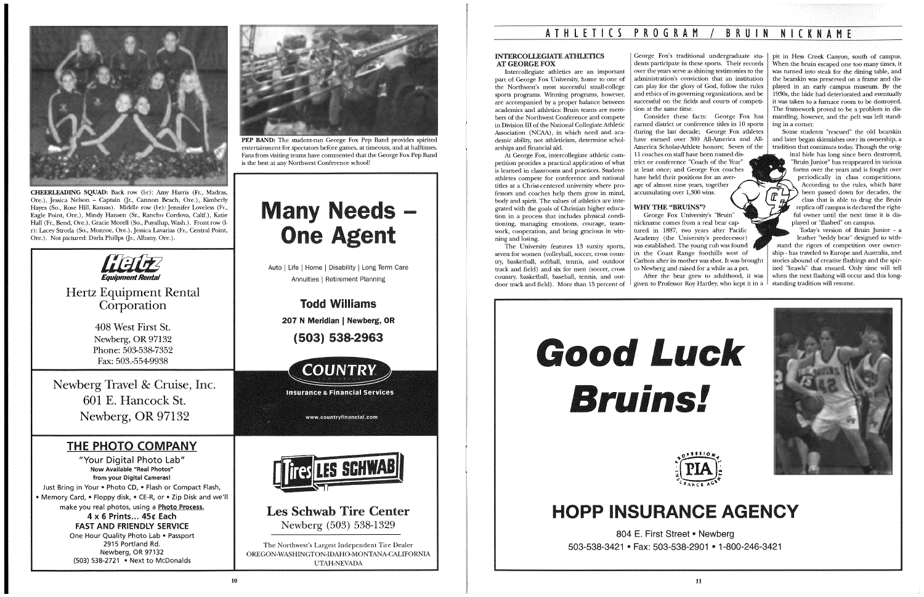

CHEERLEADING SQUAD: Back row (1-r): Amy Harris (Fr., Madras, Ore.), Jessica Nelson - Captain (Jr., Cannon Beach, Ore.), Kimberly Hayes (So., Rose Hill, Kansas). Middle row (1-r): Jennifer Loveless (Fr., Eagle Point, Ore.), Mindy Hansen (Sr., Rancho Cordova, Calif.), Katie Hall (Fr., Bend, Ore.), Gracie Morell (So., Puyallup, Wash.). Front row (1 r): Lacey Stroda (So., Monroe, Ore.), Jessica Lavarias (Fr., Central Point, Ore.). Not pictured: Darla Philips (Jr., Albany, Ore.).

Hertz Equipment Rental **Corporation** 



"Your Digital Photo Lab" Now Available "Real Photos" from your Digital Cameras! Just Bring in Your • Photo CD, • Flash or Compact Flash, • Memory Card, • Floppy disk, • CE-R, or • Zip Disk and we'll make you real photos, using a Photo Process. 4 x 6 Prints ... 45¢ Each FAST AND FRIENDlY SERVICE One Hour Quality Photo Lab • Passport 2915 Portland Rd. Newberg, OR 97132 (503) 538-2721 • Next to McDonalds



408 West First St. Newberg, OR 97132 Phone: 503-538-7352 Fax: 503.-554-9938

Newberg Travel & Cruise, Inc. 601 E. Hancock St. Newberg, OR 97132

## THE PHOTO COMPANY

Auto | Life | Home | Disability | Long Term Care Annuities 1 Retirement Planning

> Todd Williams 207 N Meridian | Newberg, OR

BRUIN NICKNAME

PEP BAND: The student-run George Fox Pep Band provides spirited entertainment for spectators before games, at timeouts, and at halftimes. Fans from visiting teams have commented that the George Fox Pep Band is the best at any Northwest Conference school!

# any Needs **One Agent** ds –<br>nt

( 503) 538-2963



**Insurance & Financial Services** 

www.countryfinancial.com



Les Schwab Tire Center Newberg (503) 538-1329

The Northwest's Largest Independent Tire Dealer OREGON-WASHINGTON-IDAHO-MONTANA-CALIFORNIA UTAH-NEVADA

# ATHLETICS PROGRAM / BRUIN

#### INTERCOlLEGIATE ATHLETICS AT GEORGE FOX

Intercollegiate athletics are an important part of George Fox University, home to one of the Northwest's most successful small-college sports programs. Winning programs, however, are accompanied by a proper balance between academics and athletics: Bruin teams are members of the Northwest Conference and compete in Division III of the National Collegiate Athletic Association (NCAA), in which need and academic ability, not athleticism, determine scholarships and financial aid.

> George Fox University's "Bruin" nickname comes from a real bear captured in 1887, two years after Pacific Academy (the University's predecessor) was established. The young cub was found in the Coast Range foothills west of Carlton after its mother was shot. It was brought to Newberg and raised for a while as a pet. After the bear grew to adulthood, it was

# Good Luck **Bruins!**



# **HOPP INSURANCE AGENCY**

At George Fox, intercollegiate athletic competition provides a practical application of what is learned in classrooms and practices. Studentathletes compete for conference and national titles at a Christ-centered university where professors and coaches help them grow in mind, body and spirit. The values of athletics are integrated with the goals of Christian higher education in a process that includes physical conditioning, managing emotions, courage, teamwork, cooperation, and being gracious in winning and losing.

George Fox's traditional undergraduate students participate in these sports. Their records over the years serve as shining testimonies to the administration's conviction that an institution can play for the glory of God, follow the rules and ethics of its governing organizations, and be successful on the fields and courts of competi-

tion at the same time.

The University features 13 varsity sports, seven for women (volleyball, soccer, cross country, basketball, softball, tennis, and outdoor track and field) and six for men (soccer, cross country, basketball, baseball, tennis, and outdoor track and field). More than 15 percent of given to Professor Roy Hartley, who kept it in a

Consider these facts: George Fox has earned district or conference titles in 10 sports during the last decade; George Fox athletes have earned over 300 All-America and All-America Scholar-Athlete honors; Seven of the

11 coaches on staff have been named disaccumulating over 1,300 wins.

trict or conference "Coach of the Year" at least once; and George Fox coaches have held their positions for an average of almost nine years, together

### WHY THE "BRUINS"?

pit in Hess Creek Canyon, south of campus. When the bruin escaped one too many times, it was turned into steak for the dining table, and the bearskin was preserved on a frame and displayed in an early campus museum. By the 1930s, the hide had deteriorated and eventually it was taken to a furnace room to be destroyed. The framework proved to be a problem in dismantling, however, and the pelt was left standing in a comer.

Some students "rescued" the old bearskin and later began skirmishes over its ownership, a tradition that continues today. Though the orig-

inal hide has long since been destroyed, "Bruin Junior" has reappeared in various forms over the years and is fought over periodically in class competitions. According to the rules, which have been passed down for decades, the class that is able to drag the Bruin replica off campus is declared the rightful owner until the next time it is displayed or "flashed" on campus.

Today's version of Bruin Junior - a leather "teddy bear" designed to withstand the rigors of competition over ownership - has traveled to Europe and Australia, and stories abound of creative flashings and the spirited "brawls" that ensued. Only time will tell when the next flashing will occur and this longstanding tradition will resume.





804 E. First Street • Newberg 503-538-3421 • Fax: 503-538-2901 • 1-800-246-3421